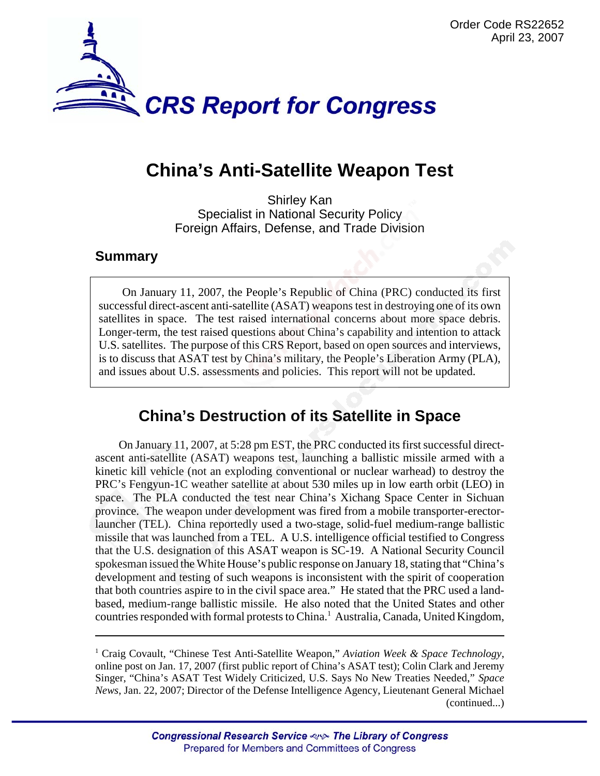

# **China's Anti-Satellite Weapon Test**

Shirley Kan Specialist in National Security Policy Foreign Affairs, Defense, and Trade Division

#### **Summary**

On January 11, 2007, the People's Republic of China (PRC) conducted its first successful direct-ascent anti-satellite (ASAT) weapons test in destroying one of its own satellites in space. The test raised international concerns about more space debris. Longer-term, the test raised questions about China's capability and intention to attack U.S. satellites. The purpose of this CRS Report, based on open sources and interviews, is to discuss that ASAT test by China's military, the People's Liberation Army (PLA), and issues about U.S. assessments and policies. This report will not be updated.

## **China's Destruction of its Satellite in Space**

On January 11, 2007, at 5:28 pm EST, the PRC conducted its first successful directascent anti-satellite (ASAT) weapons test, launching a ballistic missile armed with a kinetic kill vehicle (not an exploding conventional or nuclear warhead) to destroy the PRC's Fengyun-1C weather satellite at about 530 miles up in low earth orbit (LEO) in space. The PLA conducted the test near China's Xichang Space Center in Sichuan province. The weapon under development was fired from a mobile transporter-erectorlauncher (TEL). China reportedly used a two-stage, solid-fuel medium-range ballistic missile that was launched from a TEL. A U.S. intelligence official testified to Congress that the U.S. designation of this ASAT weapon is SC-19. A National Security Council spokesman issued the White House's public response on January 18, stating that "China's development and testing of such weapons is inconsistent with the spirit of cooperation that both countries aspire to in the civil space area." He stated that the PRC used a landbased, medium-range ballistic missile. He also noted that the United States and other countries responded with formal protests to China.<sup>1</sup> Australia, Canada, United Kingdom,

<sup>&</sup>lt;sup>1</sup> Craig Covault, "Chinese Test Anti-Satellite Weapon," Aviation Week & Space Technology, online post on Jan. 17, 2007 (first public report of China's ASAT test); Colin Clark and Jeremy Singer, "China's ASAT Test Widely Criticized, U.S. Says No New Treaties Needed," *Space News*, Jan. 22, 2007; Director of the Defense Intelligence Agency, Lieutenant General Michael (continued...)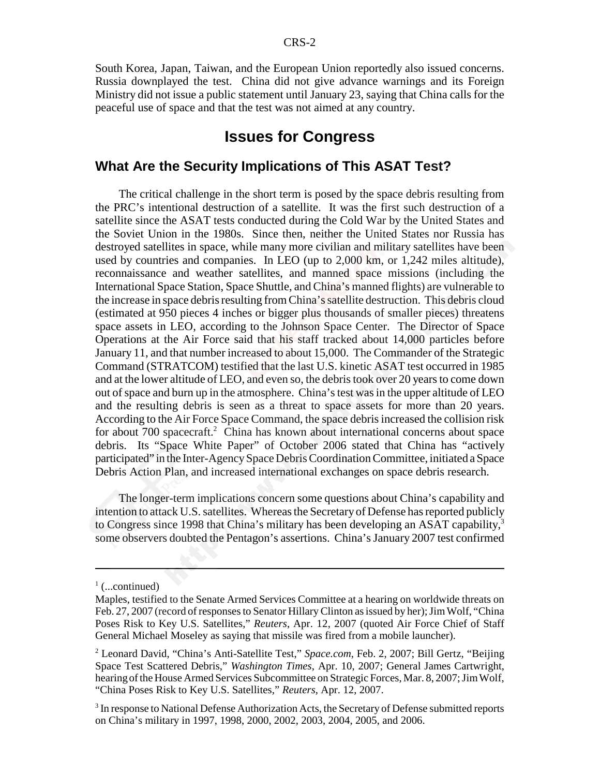South Korea, Japan, Taiwan, and the European Union reportedly also issued concerns. Russia downplayed the test. China did not give advance warnings and its Foreign Ministry did not issue a public statement until January 23, saying that China calls for the peaceful use of space and that the test was not aimed at any country.

## **Issues for Congress**

#### **What Are the Security Implications of This ASAT Test?**

The critical challenge in the short term is posed by the space debris resulting from the PRC's intentional destruction of a satellite. It was the first such destruction of a satellite since the ASAT tests conducted during the Cold War by the United States and the Soviet Union in the 1980s. Since then, neither the United States nor Russia has destroyed satellites in space, while many more civilian and military satellites have been used by countries and companies. In LEO (up to 2,000 km, or 1,242 miles altitude), reconnaissance and weather satellites, and manned space missions (including the International Space Station, Space Shuttle, and China's manned flights) are vulnerable to the increase in space debris resulting from China's satellite destruction. This debris cloud (estimated at 950 pieces 4 inches or bigger plus thousands of smaller pieces) threatens space assets in LEO, according to the Johnson Space Center. The Director of Space Operations at the Air Force said that his staff tracked about 14,000 particles before January 11, and that number increased to about 15,000. The Commander of the Strategic Command (STRATCOM) testified that the last U.S. kinetic ASAT test occurred in 1985 and at the lower altitude of LEO, and even so, the debris took over 20 years to come down out of space and burn up in the atmosphere. China's test was in the upper altitude of LEO and the resulting debris is seen as a threat to space assets for more than 20 years. According to the Air Force Space Command, the space debris increased the collision risk for about 700 spacecraft.<sup>2</sup> China has known about international concerns about space debris. Its "Space White Paper" of October 2006 stated that China has "actively participated" in the Inter-Agency Space Debris Coordination Committee, initiated a Space Debris Action Plan, and increased international exchanges on space debris research.

The longer-term implications concern some questions about China's capability and intention to attack U.S. satellites. Whereas the Secretary of Defense has reported publicly to Congress since 1998 that China's military has been developing an ASAT capability.<sup>3</sup> some observers doubted the Pentagon's assertions. China's January 2007 test confirmed

 $\frac{1}{1}$  (...continued)

Maples, testified to the Senate Armed Services Committee at a hearing on worldwide threats on Feb. 27, 2007 (record of responses to Senator Hillary Clinton as issued by her); Jim Wolf, "China Poses Risk to Key U.S. Satellites," *Reuters*, Apr. 12, 2007 (quoted Air Force Chief of Staff General Michael Moseley as saying that missile was fired from a mobile launcher).

<sup>2</sup> Leonard David, "China's Anti-Satellite Test," *Space.com*, Feb. 2, 2007; Bill Gertz, "Beijing Space Test Scattered Debris," *Washington Times*, Apr. 10, 2007; General James Cartwright, hearing of the House Armed Services Subcommittee on Strategic Forces, Mar. 8, 2007; Jim Wolf, "China Poses Risk to Key U.S. Satellites," *Reuters*, Apr. 12, 2007.

 $3$  In response to National Defense Authorization Acts, the Secretary of Defense submitted reports on China's military in 1997, 1998, 2000, 2002, 2003, 2004, 2005, and 2006.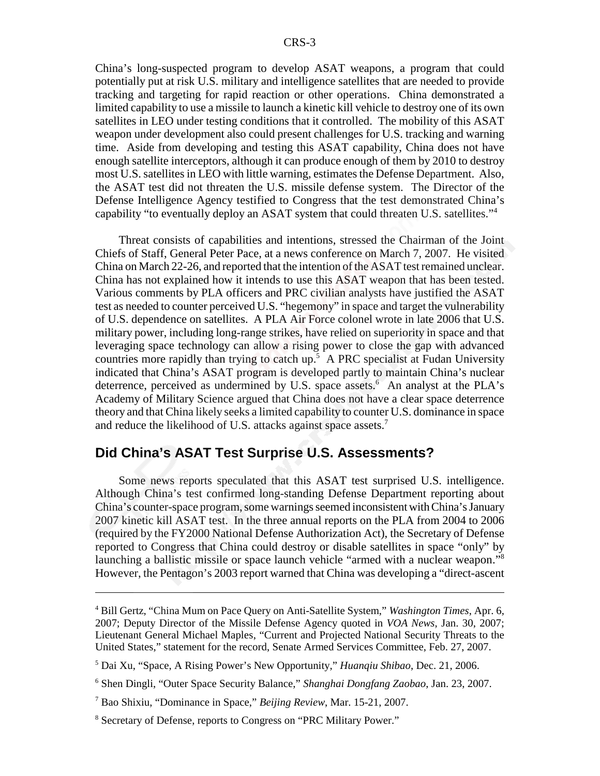China's long-suspected program to develop ASAT weapons, a program that could potentially put at risk U.S. military and intelligence satellites that are needed to provide tracking and targeting for rapid reaction or other operations. China demonstrated a limited capability to use a missile to launch a kinetic kill vehicle to destroy one of its own satellites in LEO under testing conditions that it controlled. The mobility of this ASAT weapon under development also could present challenges for U.S. tracking and warning time. Aside from developing and testing this ASAT capability, China does not have enough satellite interceptors, although it can produce enough of them by 2010 to destroy most U.S. satellites in LEO with little warning, estimates the Defense Department. Also, the ASAT test did not threaten the U.S. missile defense system. The Director of the Defense Intelligence Agency testified to Congress that the test demonstrated China's capability "to eventually deploy an ASAT system that could threaten U.S. satellites."4

Threat consists of capabilities and intentions, stressed the Chairman of the Joint Chiefs of Staff, General Peter Pace, at a news conference on March 7, 2007. He visited China on March 22-26, and reported that the intention of the ASAT test remained unclear. China has not explained how it intends to use this ASAT weapon that has been tested. Various comments by PLA officers and PRC civilian analysts have justified the ASAT test as needed to counter perceived U.S. "hegemony" in space and target the vulnerability of U.S. dependence on satellites. A PLA Air Force colonel wrote in late 2006 that U.S. military power, including long-range strikes, have relied on superiority in space and that leveraging space technology can allow a rising power to close the gap with advanced countries more rapidly than trying to catch up.<sup>5</sup> A PRC specialist at Fudan University indicated that China's ASAT program is developed partly to maintain China's nuclear deterrence, perceived as undermined by U.S. space assets.<sup>6</sup> An analyst at the PLA's Academy of Military Science argued that China does not have a clear space deterrence theory and that China likely seeks a limited capability to counter U.S. dominance in space and reduce the likelihood of U.S. attacks against space assets.<sup>7</sup>

#### **Did China's ASAT Test Surprise U.S. Assessments?**

Some news reports speculated that this ASAT test surprised U.S. intelligence. Although China's test confirmed long-standing Defense Department reporting about China's counter-space program, some warnings seemed inconsistent with China's January 2007 kinetic kill ASAT test. In the three annual reports on the PLA from 2004 to 2006 (required by the FY2000 National Defense Authorization Act), the Secretary of Defense reported to Congress that China could destroy or disable satellites in space "only" by launching a ballistic missile or space launch vehicle "armed with a nuclear weapon."8 However, the Pentagon's 2003 report warned that China was developing a "direct-ascent

<sup>4</sup> Bill Gertz, "China Mum on Pace Query on Anti-Satellite System," *Washington Times*, Apr. 6, 2007; Deputy Director of the Missile Defense Agency quoted in *VOA News*, Jan. 30, 2007; Lieutenant General Michael Maples, "Current and Projected National Security Threats to the United States," statement for the record, Senate Armed Services Committee, Feb. 27, 2007.

<sup>5</sup> Dai Xu, "Space, A Rising Power's New Opportunity," *Huanqiu Shibao*, Dec. 21, 2006.

<sup>6</sup> Shen Dingli, "Outer Space Security Balance," *Shanghai Dongfang Zaobao*, Jan. 23, 2007.

<sup>7</sup> Bao Shixiu, "Dominance in Space," *Beijing Review*, Mar. 15-21, 2007.

<sup>&</sup>lt;sup>8</sup> Secretary of Defense, reports to Congress on "PRC Military Power."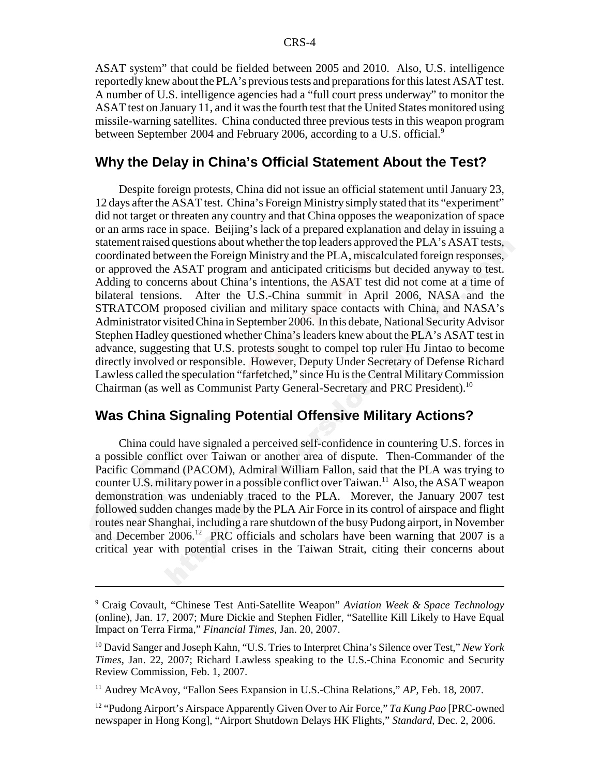ASAT system" that could be fielded between 2005 and 2010. Also, U.S. intelligence reportedly knew about the PLA's previous tests and preparations for this latest ASAT test. A number of U.S. intelligence agencies had a "full court press underway" to monitor the ASAT test on January 11, and it was the fourth test that the United States monitored using missile-warning satellites. China conducted three previous tests in this weapon program between September 2004 and February 2006, according to a U.S. official.<sup>9</sup>

#### **Why the Delay in China's Official Statement About the Test?**

Despite foreign protests, China did not issue an official statement until January 23, 12 days after the ASAT test. China's Foreign Ministry simply stated that its "experiment" did not target or threaten any country and that China opposes the weaponization of space or an arms race in space. Beijing's lack of a prepared explanation and delay in issuing a statement raised questions about whether the top leaders approved the PLA's ASAT tests, coordinated between the Foreign Ministry and the PLA, miscalculated foreign responses, or approved the ASAT program and anticipated criticisms but decided anyway to test. Adding to concerns about China's intentions, the ASAT test did not come at a time of bilateral tensions. After the U.S.-China summit in April 2006, NASA and the STRATCOM proposed civilian and military space contacts with China, and NASA's Administrator visited China in September 2006. In this debate, National Security Advisor Stephen Hadley questioned whether China's leaders knew about the PLA's ASAT test in advance, suggesting that U.S. protests sought to compel top ruler Hu Jintao to become directly involved or responsible. However, Deputy Under Secretary of Defense Richard Lawless called the speculation "farfetched," since Hu is the Central Military Commission Chairman (as well as Communist Party General-Secretary and PRC President).10

#### **Was China Signaling Potential Offensive Military Actions?**

China could have signaled a perceived self-confidence in countering U.S. forces in a possible conflict over Taiwan or another area of dispute. Then-Commander of the Pacific Command (PACOM), Admiral William Fallon, said that the PLA was trying to counter U.S. military power in a possible conflict over Taiwan.<sup>11</sup> Also, the ASAT weapon demonstration was undeniably traced to the PLA. Morever, the January 2007 test followed sudden changes made by the PLA Air Force in its control of airspace and flight routes near Shanghai, including a rare shutdown of the busy Pudong airport, in November and December 2006.<sup>12</sup> PRC officials and scholars have been warning that 2007 is a critical year with potential crises in the Taiwan Strait, citing their concerns about

<sup>9</sup> Craig Covault, "Chinese Test Anti-Satellite Weapon" *Aviation Week & Space Technology* (online), Jan. 17, 2007; Mure Dickie and Stephen Fidler, "Satellite Kill Likely to Have Equal Impact on Terra Firma," *Financial Times*, Jan. 20, 2007.

<sup>10</sup> David Sanger and Joseph Kahn, "U.S. Tries to Interpret China's Silence over Test," *New York Times*, Jan. 22, 2007; Richard Lawless speaking to the U.S.-China Economic and Security Review Commission, Feb. 1, 2007.

<sup>&</sup>lt;sup>11</sup> Audrey McAvoy, "Fallon Sees Expansion in U.S.-China Relations," AP, Feb. 18, 2007.

<sup>12 &</sup>quot;Pudong Airport's Airspace Apparently Given Over to Air Force," *Ta Kung Pao* [PRC-owned newspaper in Hong Kong], "Airport Shutdown Delays HK Flights," *Standard*, Dec. 2, 2006.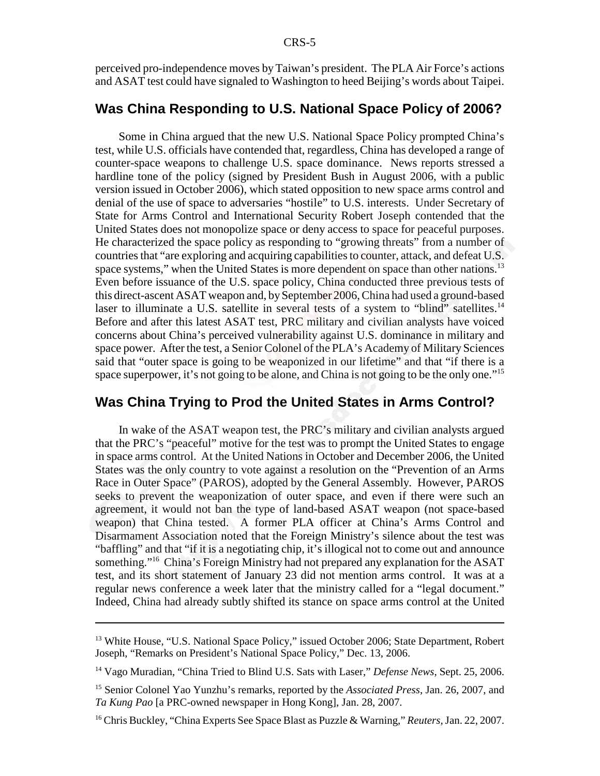perceived pro-independence moves by Taiwan's president. The PLA Air Force's actions and ASAT test could have signaled to Washington to heed Beijing's words about Taipei.

#### **Was China Responding to U.S. National Space Policy of 2006?**

Some in China argued that the new U.S. National Space Policy prompted China's test, while U.S. officials have contended that, regardless, China has developed a range of counter-space weapons to challenge U.S. space dominance. News reports stressed a hardline tone of the policy (signed by President Bush in August 2006, with a public version issued in October 2006), which stated opposition to new space arms control and denial of the use of space to adversaries "hostile" to U.S. interests. Under Secretary of State for Arms Control and International Security Robert Joseph contended that the United States does not monopolize space or deny access to space for peaceful purposes. He characterized the space policy as responding to "growing threats" from a number of countries that "are exploring and acquiring capabilities to counter, attack, and defeat U.S. space systems," when the United States is more dependent on space than other nations.<sup>13</sup> Even before issuance of the U.S. space policy, China conducted three previous tests of this direct-ascent ASAT weapon and, by September 2006, China had used a ground-based laser to illuminate a U.S. satellite in several tests of a system to "blind" satellites.<sup>14</sup> Before and after this latest ASAT test, PRC military and civilian analysts have voiced concerns about China's perceived vulnerability against U.S. dominance in military and space power. After the test, a Senior Colonel of the PLA's Academy of Military Sciences said that "outer space is going to be weaponized in our lifetime" and that "if there is a space superpower, it's not going to be alone, and China is not going to be the only one."<sup>15</sup>

### **Was China Trying to Prod the United States in Arms Control?**

In wake of the ASAT weapon test, the PRC's military and civilian analysts argued that the PRC's "peaceful" motive for the test was to prompt the United States to engage in space arms control. At the United Nations in October and December 2006, the United States was the only country to vote against a resolution on the "Prevention of an Arms Race in Outer Space" (PAROS), adopted by the General Assembly. However, PAROS seeks to prevent the weaponization of outer space, and even if there were such an agreement, it would not ban the type of land-based ASAT weapon (not space-based weapon) that China tested. A former PLA officer at China's Arms Control and Disarmament Association noted that the Foreign Ministry's silence about the test was "baffling" and that "if it is a negotiating chip, it's illogical not to come out and announce something."16 China's Foreign Ministry had not prepared any explanation for the ASAT test, and its short statement of January 23 did not mention arms control. It was at a regular news conference a week later that the ministry called for a "legal document." Indeed, China had already subtly shifted its stance on space arms control at the United

<sup>&</sup>lt;sup>13</sup> White House, "U.S. National Space Policy," issued October 2006; State Department, Robert Joseph, "Remarks on President's National Space Policy," Dec. 13, 2006.

<sup>14</sup> Vago Muradian, "China Tried to Blind U.S. Sats with Laser," *Defense News*, Sept. 25, 2006.

<sup>15</sup> Senior Colonel Yao Yunzhu's remarks, reported by the *Associated Press*, Jan. 26, 2007, and *Ta Kung Pao* [a PRC-owned newspaper in Hong Kong], Jan. 28, 2007.

<sup>16</sup> Chris Buckley, "China Experts See Space Blast as Puzzle & Warning," *Reuters*, Jan. 22, 2007.